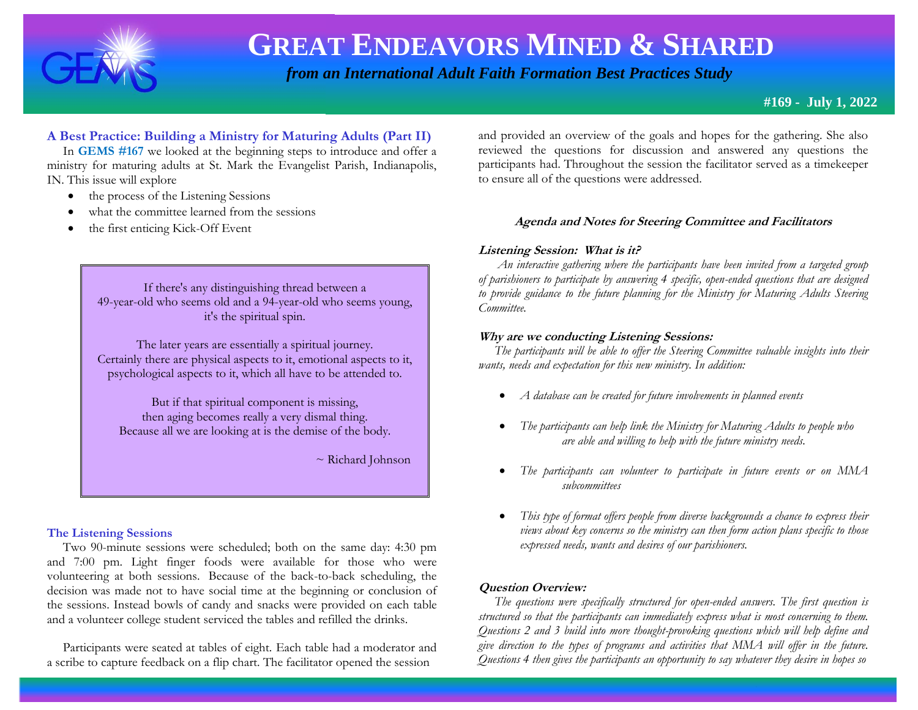

# **GREAT ENDEAVORS MINED & SHARED**

 *from an International Adult Faith Formation Best Practices Study*

# **#169 - July 1, 2022**

# **A Best Practice: Building a Ministry for Maturing Adults (Part II)**

 In **GEMS #167** we looked at the beginning steps to introduce and offer a ministry for maturing adults at St. Mark the Evangelist Parish, Indianapolis, IN. This issue will explore

- the process of the Listening Sessions
- what the committee learned from the sessions
- the first enticing Kick-Off Event

If there's any distinguishing thread between a 49-year-old who seems old and a 94-year-old who seems young, it's the spiritual spin.

The later years are essentially a spiritual journey. Certainly there are physical aspects to it, emotional aspects to it, psychological aspects to it, which all have to be attended to.

But if that spiritual component is missing, then aging becomes really a very dismal thing. Because all we are looking at is the demise of the body.

~ Richard Johnson

### **The Listening Sessions**

 Two 90-minute sessions were scheduled; both on the same day: 4:30 pm and 7:00 pm. Light finger foods were available for those who were volunteering at both sessions. Because of the back-to-back scheduling, the decision was made not to have social time at the beginning or conclusion of the sessions. Instead bowls of candy and snacks were provided on each table and a volunteer college student serviced the tables and refilled the drinks.

 Participants were seated at tables of eight. Each table had a moderator and a scribe to capture feedback on a flip chart. The facilitator opened the session

and provided an overview of the goals and hopes for the gathering. She also reviewed the questions for discussion and answered any questions the participants had. Throughout the session the facilitator served as a timekeeper to ensure all of the questions were addressed.

### **Agenda and Notes for Steering Committee and Facilitators**

## **Listening Session: What is it?**

 *An interactive gathering where the participants have been invited from a targeted group of parishioners to participate by answering 4 specific, open-ended questions that are designed to provide guidance to the future planning for the Ministry for Maturing Adults Steering Committee.*

### **Why are we conducting Listening Sessions:**

 *The participants will be able to offer the Steering Committee valuable insights into their wants, needs and expectation for this new ministry. In addition:*

- *A database can be created for future involvements in planned events*
- *The participants can help link the Ministry for Maturing Adults to people who are able and willing to help with the future ministry needs.*
- *The participants can volunteer to participate in future events or on MMA subcommittees*
- *This type of format offers people from diverse backgrounds a chance to express their views about key concerns so the ministry can then form action plans specific to those expressed needs, wants and desires of our parishioners.*

# **Question Overview:**

 *The questions were specifically structured for open-ended answers. The first question is structured so that the participants can immediately express what is most concerning to them. Questions 2 and 3 build into more thought-provoking questions which will help define and give direction to the types of programs and activities that MMA will offer in the future. Questions 4 then gives the participants an opportunity to say whatever they desire in hopes so*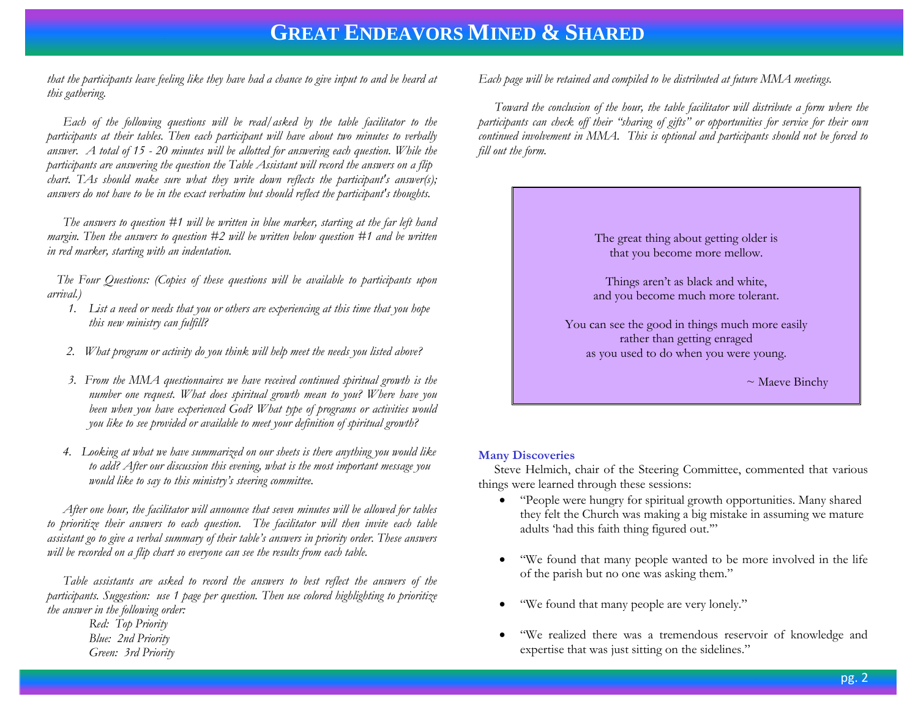# **GREAT ENDEAVORS MINED & SHARED**

*that the participants leave feeling like they have had a chance to give input to and be heard at this gathering.* 

 *Each of the following questions will be read/asked by the table facilitator to the participants at their tables. Then each participant will have about two minutes to verbally answer. A total of 15 - 20 minutes will be allotted for answering each question. While the participants are answering the question the Table Assistant will record the answers on a flip chart. TAs should make sure what they write down reflects the participant's answer(s); answers do not have to be in the exact verbatim but should reflect the participant's thoughts.* 

 *The answers to question #1 will be written in blue marker, starting at the far left hand margin. Then the answers to question #2 will be written below question #1 and be written in red marker, starting with an indentation.*

 *The Four Questions: (Copies of these questions will be available to participants upon arrival.)*

- *1. List a need or needs that you or others are experiencing at this time that you hope this new ministry can fulfill?*
- *2. What program or activity do you think will help meet the needs you listed above?*
- *3. From the MMA questionnaires we have received continued spiritual growth is the number one request. What does spiritual growth mean to you? Where have you been when you have experienced God? What type of programs or activities would you like to see provided or available to meet your definition of spiritual growth?*
- *4. Looking at what we have summarized on our sheets is there anything you would like to add? After our discussion this evening, what is the most important message you would like to say to this ministry's steering committee.*

 *After one hour, the facilitator will announce that seven minutes will be allowed for tables to prioritize their answers to each question. The facilitator will then invite each table assistant go to give a verbal summary of their table's answers in priority order. These answers will be recorded on a flip chart so everyone can see the results from each table.* 

 *Table assistants are asked to record the answers to best reflect the answers of the participants. Suggestion: use 1 page per question. Then use colored highlighting to prioritize the answer in the following order:*

*Red: Top Priority Blue: 2nd Priority Green: 3rd Priority* *Each page will be retained and compiled to be distributed at future MMA meetings.*

 *Toward the conclusion of the hour, the table facilitator will distribute a form where the participants can check off their "sharing of gifts" or opportunities for service for their own continued involvement in MMA. This is optional and participants should not be forced to fill out the form.*



# **Many Discoveries**

 Steve Helmich, chair of the Steering Committee, commented that various things were learned through these sessions:

- "People were hungry for spiritual growth opportunities. Many shared they felt the Church was making a big mistake in assuming we mature adults 'had this faith thing figured out.'"
- "We found that many people wanted to be more involved in the life of the parish but no one was asking them."
- "We found that many people are very lonely."
- "We realized there was a tremendous reservoir of knowledge and expertise that was just sitting on the sidelines."